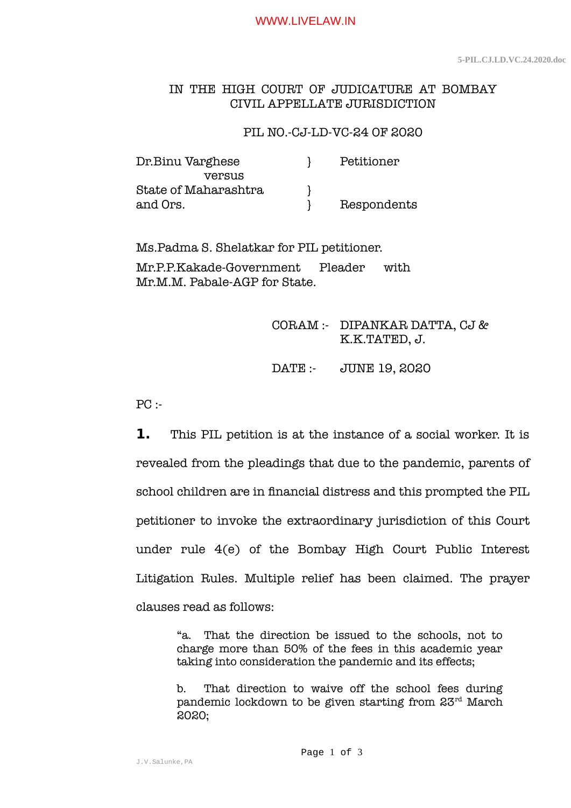WWW.LIVELAW.IN

## IN THE HIGH COURT OF JUDICATURE AT BOMBAY CIVIL APPELLATE JURISDICTION

## PIL NO.-CJ-LD-VC-24 OF 2020

| Dr.Binu Varghese     | Petitioner  |
|----------------------|-------------|
| <b>Versus</b>        |             |
| State of Maharashtra |             |
| and Ors.             | Respondents |

Ms.Padma S. Shelatkar for PIL petitioner. Mr.P.P.Kakade-Government Pleader with Mr.M.M. Pabale-AGP for State.

## CORAM :- DIPANKAR DATTA, CJ & K.K.TATED, J.

DATE :- JUNE 19, 2020

 $PC:$ 

**1.** This PIL petition is at the instance of a social worker. It is revealed from the pleadings that due to the pandemic, parents of school children are in financial distress and this prompted the PIL petitioner to invoke the extraordinary jurisdiction of this Court under rule 4(e) of the Bombay High Court Public Interest Litigation Rules. Multiple relief has been claimed. The prayer clauses read as follows:

> "a. That the direction be issued to the schools, not to charge more than 50% of the fees in this academic year taking into consideration the pandemic and its effects;

> b. That direction to waive off the school fees during pandemic lockdown to be given starting from 23rd March 2020;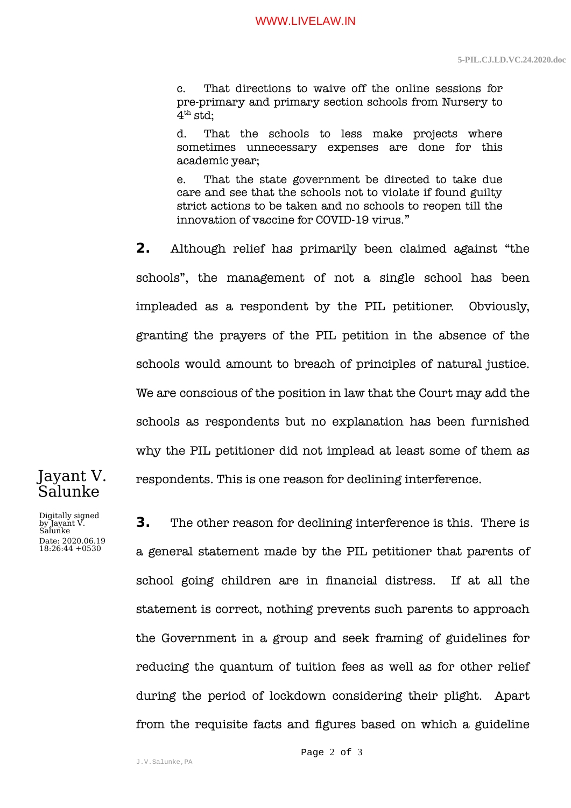c. That directions to waive off the online sessions for pre-primary and primary section schools from Nursery to  $4^{\rm th}$  std;

d. That the schools to less make projects where sometimes unnecessary expenses are done for this academic year;

e. That the state government be directed to take due care and see that the schools not to violate if found guilty strict actions to be taken and no schools to reopen till the innovation of vaccine for COVID-19 virus."

**2.** Although relief has primarily been claimed against "the schools", the management of not a single school has been impleaded as a respondent by the PIL petitioner. Obviously, granting the prayers of the PIL petition in the absence of the schools would amount to breach of principles of natural justice. We are conscious of the position in law that the Court may add the schools as respondents but no explanation has been furnished why the PIL petitioner did not implead at least some of them as respondents. This is one reason for declining interference.

Jayant V. Salunke

Digitally signed by Jayant V. Salunke Date: 2020.06.19 18:26:44 +0530

**3.** The other reason for declining interference is this. There is a general statement made by the PIL petitioner that parents of school going children are in financial distress. If at all the statement is correct, nothing prevents such parents to approach the Government in a group and seek framing of guidelines for reducing the quantum of tuition fees as well as for other relief during the period of lockdown considering their plight. Apart from the requisite facts and figures based on which a guideline